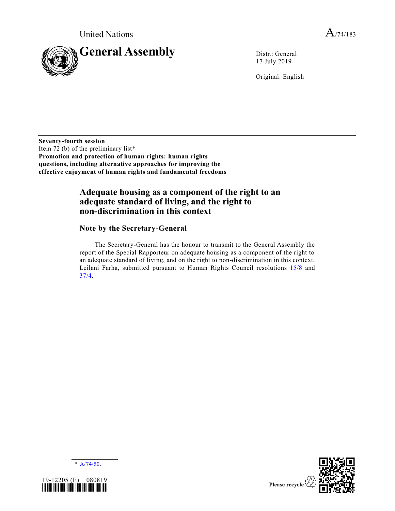

17 July 2019

Original: English

**Seventy-fourth session** Item 72 (b) of the preliminary list\* **Promotion and protection of human rights: human rights questions, including alternative approaches for improving the effective enjoyment of human rights and fundamental freedoms**

## **Adequate housing as a component of the right to an adequate standard of living, and the right to non-discrimination in this context**

## **Note by the Secretary-General**

The Secretary-General has the honour to transmit to the General Assembly the report of the Special Rapporteur on adequate housing as a component of the right to an adequate standard of living, and on the right to non-discrimination in this context, Leilani Farha, submitted pursuant to Human Rights Council resolutions [15/8](https://undocs.org/en/A/HRC/RES/15/8) and [37/4.](https://undocs.org/en/A/HRC/RES/37/4)





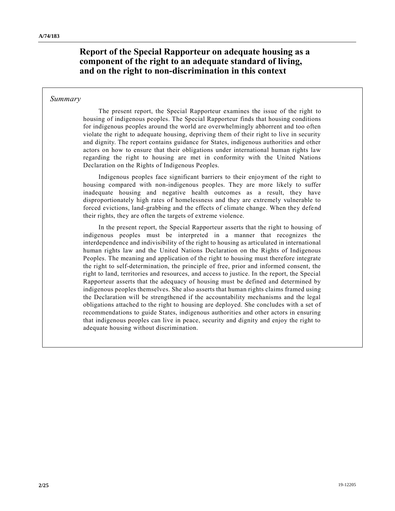**Report of the Special Rapporteur on adequate housing as a component of the right to an adequate standard of living, and on the right to non-discrimination in this context**

### *Summary*

The present report, the Special Rapporteur examines the issue of the right to housing of indigenous peoples. The Special Rapporteur finds that housing conditions for indigenous peoples around the world are overwhelmingly abhorrent and too often violate the right to adequate housing, depriving them of their right to live in security and dignity. The report contains guidance for States, indigenous authorities and other actors on how to ensure that their obligations under international human rights law regarding the right to housing are met in conformity with the United Nations Declaration on the Rights of Indigenous Peoples.

Indigenous peoples face significant barriers to their enjoyment of the right to housing compared with non-indigenous peoples. They are more likely to suffer inadequate housing and negative health outcomes as a result, they have disproportionately high rates of homelessness and they are extremely vulnerable to forced evictions, land-grabbing and the effects of climate change. When they defend their rights, they are often the targets of extreme violence.

In the present report, the Special Rapporteur asserts that the right to housing of indigenous peoples must be interpreted in a manner that recognizes the interdependence and indivisibility of the right to housing as articulated in international human rights law and the United Nations Declaration on the Rights of Indigenous Peoples. The meaning and application of the right to housing must therefore integrate the right to self-determination, the principle of free, prior and informed consent, the right to land, territories and resources, and access to justice. In the report, the Special Rapporteur asserts that the adequacy of housing must be defined and determined by indigenous peoples themselves. She also asserts that human rights claims framed using the Declaration will be strengthened if the accountability mechanisms and the legal obligations attached to the right to housing are deployed. She concludes with a set of recommendations to guide States, indigenous authorities and other actors in ensuring that indigenous peoples can live in peace, security and dignity and enjoy the right to adequate housing without discrimination.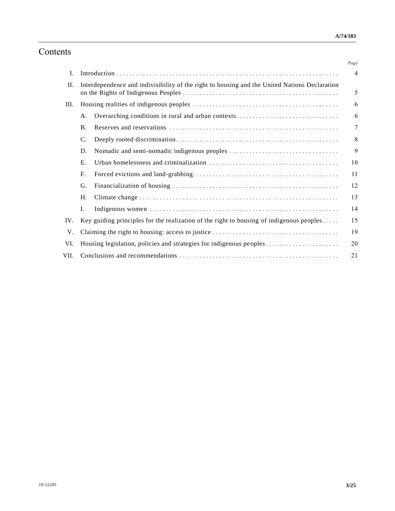# Contents

|      |                                                                                                    |                                                                                               | Page           |
|------|----------------------------------------------------------------------------------------------------|-----------------------------------------------------------------------------------------------|----------------|
| Ι.   |                                                                                                    |                                                                                               | $\overline{4}$ |
| П.   |                                                                                                    | Interdependence and indivisibility of the right to housing and the United Nations Declaration | 5              |
| III. |                                                                                                    |                                                                                               | 6              |
|      | Α.                                                                                                 | Overarching conditions in rural and urban contexts                                            | 6              |
|      | <b>B.</b>                                                                                          |                                                                                               | 7              |
|      | C.                                                                                                 |                                                                                               | 8              |
|      | D.                                                                                                 |                                                                                               | 9              |
|      | Ε.                                                                                                 |                                                                                               | 10             |
|      | F.                                                                                                 |                                                                                               | 11             |
|      | G.                                                                                                 |                                                                                               | 12             |
|      | H.                                                                                                 |                                                                                               | 13             |
|      | Ι.                                                                                                 |                                                                                               | 14             |
| IV.  | Key guiding principles for the realization of the right to housing of indigenous peoples $\dots$ . |                                                                                               | 15             |
| V.   |                                                                                                    |                                                                                               | 19             |
| VI.  |                                                                                                    |                                                                                               | 20             |
| VII. | 21                                                                                                 |                                                                                               |                |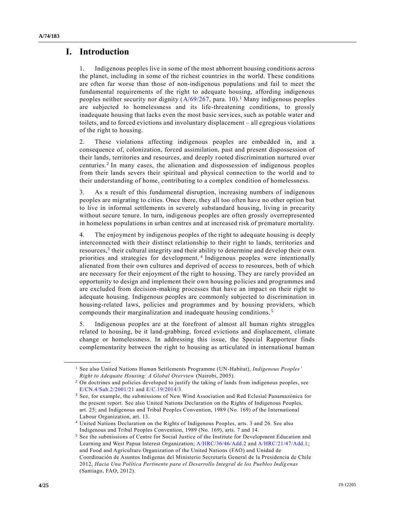## **I. Introduction**

1. Indigenous peoples live in some of the most abhorrent housing conditions across the planet, including in some of the richest countries in the world. These conditions are often far worse than those of non-indigenous populations and fail to meet the fundamental requirements of the right to adequate housing, affording indigenous peoples neither security nor dignity  $(A/69/267, \text{para. } 10).$  $(A/69/267, \text{para. } 10).$ <sup>1</sup> Many indigenous peoples are subjected to homelessness and its life-threatening conditions, to grossly inadequate housing that lacks even the most basic services, such as potable water and toilets, and to forced evictions and involuntary displacement – all egregious violations of the right to housing.

2. These violations affecting indigenous peoples are embedded in, and a consequence of, colonization, forced assimilation, past and present dispossession of their lands, territories and resources, and deeply rooted discrimination nurtured over centuries.<sup>2</sup> In many cases, the alienation and dispossession of indigenous peoples from their lands severs their spiritual and physical connection to the world and to their understanding of home, contributing to a complex condition of homelessness.

3. As a result of this fundamental disruption, increasing numbers of indigenous peoples are migrating to cities. Once there, they all too often have no other option but to live in informal settlements in severely substandard housing, living in precarity without secure tenure. In turn, indigenous peoples are often grossly overrepresented in homeless populations in urban centres and at increased risk of premature mortality.

4. The enjoyment by indigenous peoples of the right to adequate housing is deeply interconnected with their distinct relationship to their right to lands, territories and resources,<sup>3</sup> their cultural integrity and their ability to determine and develop their own priorities and strategies for development. <sup>4</sup> Indigenous peoples were intentionally alienated from their own cultures and deprived of access to resources, both of which are necessary for their enjoyment of the right to housing. They are rarely provided an opportunity to design and implement their own housing policies and programmes and are excluded from decision-making processes that have an impact on their right to adequate housing. Indigenous peoples are commonly subjected to discrimination in housing-related laws, policies and programmes and by housing providers, which compounds their marginalization and inadequate housing conditions. <sup>5</sup>

5. Indigenous peoples are at the forefront of almost all human rights struggles related to housing, be it land-grabbing, forced evictions and displacement, climate change or homelessness. In addressing this issue, the Special Rapporteur finds complementarity between the right to housing as articulated in international human

<sup>1</sup> See also United Nations Human Settlements Programme (UN-Habitat), *Indigenous Peoples' Right to Adequate Housing: A Global Overview* (Nairobi, 2005).

<sup>&</sup>lt;sup>2</sup> On doctrines and policies developed to justify the taking of lands from indigenous peoples, see [E/CN.4/Sub.2/2001/21](https://undocs.org/en/E/CN.4/Sub.2/2001/21) and [E/C.19/2014/3.](https://undocs.org/en/E/C.19/2014/3) 

<sup>3</sup> See, for example, the submissions of New Wind Association and Red Eclesial Panamazónica for the present report. See also United Nations Declaration on the Rights of Indigenous Peoples, art. 25; and Indigenous and Tribal Peoples Convention, 1989 (No. 169) of the International Labour Organization, art. 13.

<sup>4</sup> United Nations Declaration on the Rights of Indigenous Peoples, arts. 3 and 26. See also Indigenous and Tribal Peoples Convention, 1989 (No. 169), arts. 7 and 14.

<sup>5</sup> See the submissions of Centre for Social Justice of the Institute for Development Education and Learning and West Papua Interest Organization; [A/HRC/36/46/Add.2](https://undocs.org/en/A/HRC/36/46/Add.2) and [A/HRC/21/47/Add.1;](https://undocs.org/en/A/HRC/21/47/Add.1) and Food and Agriculture Organization of the United Nations (FAO) and Unidad de Coordinación de Asuntos Indígenas del Ministerio Secretaría General de la Presidencia de Chile 2012, *Hacia Una Política Pertinente para el Desarrollo Integral de los Pueblos Indíg enas* (Santiago, FAO, 2012).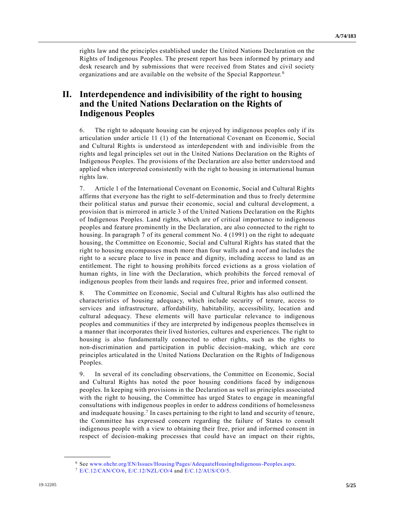rights law and the principles established under the United Nations Declaration on the Rights of Indigenous Peoples. The present report has been informed by primary and desk research and by submissions that were received from States and civil society organizations and are available on the website of the Special Rapporteur.<sup>6</sup>

## **II. Interdependence and indivisibility of the right to housing and the United Nations Declaration on the Rights of Indigenous Peoples**

6. The right to adequate housing can be enjoyed by indigenous peoples only if its articulation under article 11 (1) of the International Covenant on Economic, Social and Cultural Rights is understood as interdependent with and indivisible from the rights and legal principles set out in the United Nations Declaration on the Rights of Indigenous Peoples. The provisions of the Declaration are also better understood and applied when interpreted consistently with the right to housing in international human rights law.

7. Article 1 of the International Covenant on Economic, Social and Cultural Rights affirms that everyone has the right to self-determination and thus to freely determine their political status and pursue their economic, social and cultural development, a provision that is mirrored in article 3 of the United Nations Declaration on the Rights of Indigenous Peoples. Land rights, which are of critical importance to indigenous peoples and feature prominently in the Declaration, are also connected to the right to housing. In paragraph 7 of its general comment No. 4 (1991) on the right to adequate housing, the Committee on Economic, Social and Cultural Rights has stated that the right to housing encompasses much more than four walls and a roof and includes the right to a secure place to live in peace and dignity, including access to land as an entitlement. The right to housing prohibits forced evictions as a gross violation of human rights, in line with the Declaration, which prohibits the forced removal of indigenous peoples from their lands and requires free, prior and informed consent.

8. The Committee on Economic, Social and Cultural Rights has also outlined the characteristics of housing adequacy, which include security of tenure, access to services and infrastructure, affordability, habitability, accessibility, location and cultural adequacy. These elements will have particular relevance to indigenous peoples and communities if they are interpreted by indigenous peoples themselves in a manner that incorporates their lived histories, cultures and experiences. The right to housing is also fundamentally connected to other rights, such as the rights to non-discrimination and participation in public decision-making, which are core principles articulated in the United Nations Declaration on the Rights of Indigenous Peoples.

9. In several of its concluding observations, the Committee on Economic, Social and Cultural Rights has noted the poor housing conditions faced by indigenous peoples. In keeping with provisions in the Declaration as well as principles associated with the right to housing, the Committee has urged States to engage in meaningful consultations with indigenous peoples in order to address conditions of homelessness and inadequate housing.<sup>7</sup> In cases pertaining to the right to land and security of tenure, the Committee has expressed concern regarding the failure of States to consult indigenous people with a view to obtaining their free, prior and informed consent in respect of decision-making processes that could have an impact on their rights,

<sup>6</sup> See [www.ohchr.org/EN/Issues/Housing/Pages/AdequateHousingIndigenous-Peoples.aspx.](http://www.ohchr.org/EN/Issues/Housing/Pages/AdequateHousingIndigenous-Peoples.aspx) 

<sup>7</sup> [E/C.12/CAN/CO/6,](https://undocs.org/en/E/C.12/CAN/CO/6) [E/C.12/NZL/CO/4](https://undocs.org/en/E/C.12/NZL/CO/4) and [E/C.12/AUS/CO/5.](https://undocs.org/en/E/C.12/AUS/CO/5)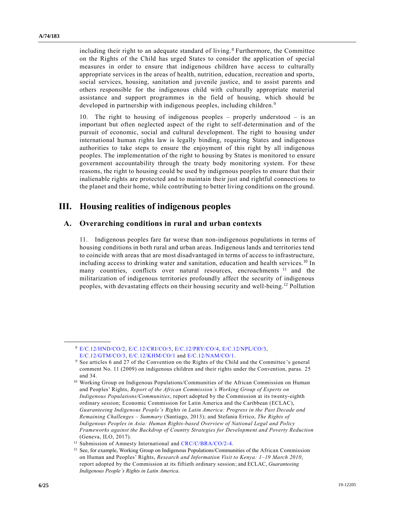including their right to an adequate standard of living. <sup>8</sup> Furthermore, the Committee on the Rights of the Child has urged States to consider the application of special measures in order to ensure that indigenous children have access to culturally appropriate services in the areas of health, nutrition, education, recreation and sports, social services, housing, sanitation and juvenile justice, and to assist parents and others responsible for the indigenous child with culturally appropriate material assistance and support programmes in the field of housing, which should be developed in partnership with indigenous peoples, including children.<sup>9</sup>

10. The right to housing of indigenous peoples – properly understood – is an important but often neglected aspect of the right to self-determination and of the pursuit of economic, social and cultural development. The right to housing under international human rights law is legally binding, requiring States and indigenous authorities to take steps to ensure the enjoyment of this right by all indigenous peoples. The implementation of the right to housing by States is monitored to ensure government accountability through the treaty body monitoring system. For these reasons, the right to housing could be used by indigenous peoples to ensure that their inalienable rights are protected and to maintain their just and rightful connecti ons to the planet and their home, while contributing to better living conditions on the ground.

## **III. Housing realities of indigenous peoples**

### **A. Overarching conditions in rural and urban contexts**

11. Indigenous peoples fare far worse than non-indigenous populations in terms of housing conditions in both rural and urban areas. Indigenous lands and territories tend to coincide with areas that are most disadvantaged in terms of access to infrastructure, including access to drinking water and sanitation, education and health services.<sup>10</sup> In many countries, conflicts over natural resources, encroachments <sup>11</sup> and the militarization of indigenous territories profoundly affect the security of indigenous peoples, with devastating effects on their housing security and well-being.<sup>12</sup> Pollution

<sup>8</sup> [E/C.12/HND/CO/2,](https://undocs.org/en/E/C.12/HND/CO/2) [E/C.12/CRI/CO/5,](https://undocs.org/en/E/C.12/CRI/CO/5) [E/C.12/PRY/CO/4,](https://undocs.org/en/E/C.12/PRY/CO/4) [E/C.12/NPL/CO/3,](https://undocs.org/en/E/C.12/NPL/CO/3) [E/C.12/GTM/CO/3,](https://undocs.org/en/E/C.12/GTM/CO/3) [E/C.12/KHM/CO/1](https://undocs.org/en/E/C.12/KHM/CO/1) and [E/C.12/NAM/CO/1.](https://undocs.org/en/E/C.12/NAM/CO/1)

<sup>9</sup> See articles 6 and 27 of the Convention on the Rights of the Child and the Committee 's general comment No. 11 (2009) on indigenous children and their rights under the Convention, paras. 25 and 34.

<sup>&</sup>lt;sup>10</sup> Working Group on Indigenous Populations/Communities of the African Commission on Human and Peoples' Rights, *Report of the African Commission's Working Group of Experts on Indigenous Populations/Communities*, report adopted by the Commission at its twenty-eighth ordinary session; Economic Commission for Latin America and the Caribbean (ECLAC), *Guaranteeing Indigenous People's Rights in Latin America: Progress in the Past Decade and Remaining Challenges – Summary* (Santiago, 2013); and Stefania Errico, *The Rights of Indigenous Peoples in Asia: Human Rights-based Overview of National Legal and Policy Frameworks against the Backdrop of Country Strategies for Development and Poverty Reduction* (Geneva, ILO, 2017).

<sup>&</sup>lt;sup>11</sup> Submission of Amnesty International and [CRC/C/BRA/CO/2-4.](https://undocs.org/en/CRC/C/BRA/CO/2-4)

<sup>&</sup>lt;sup>12</sup> See, for example, Working Group on Indigenous Populations/Communities of the African Commission on Human and Peoples' Rights, *Research and Information Visit to Kenya: 1–19 March 2010*, report adopted by the Commission at its fiftieth ordinary session; and ECLAC, *Guaranteeing Indigenous People's Rights in Latin America*.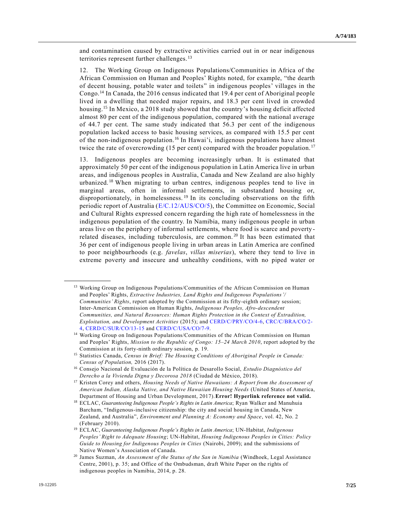and contamination caused by extractive activities carried out in or near indigenous territories represent further challenges.<sup>13</sup>

12. The Working Group on Indigenous Populations/Communities in Africa of the African Commission on Human and Peoples' Rights noted, for example, "the dearth of decent housing, potable water and toilets" in indigenous peoples' villages in the Congo.<sup>14</sup> In Canada, the 2016 census indicated that 19.4 per cent of Aboriginal people lived in a dwelling that needed major repairs, and 18.3 per cent lived in crowded housing.<sup>15</sup> In Mexico, a 2018 study showed that the country's housing deficit affected almost 80 per cent of the indigenous population, compared with the national average of 44.7 per cent. The same study indicated that 56.3 per cent of the indigenous population lacked access to basic housing services, as compared with 15.5 per cent of the non-indigenous population.<sup>16</sup> In Hawai'i, indigenous populations have almost twice the rate of overcrowding (15 per cent) compared with the broader population.<sup>17</sup>

13. Indigenous peoples are becoming increasingly urban. It is estimated that approximately 50 per cent of the indigenous population in Latin America live in urban areas, and indigenous peoples in Australia, Canada and New Zealand are also highly urbanized.<sup>18</sup> When migrating to urban centres, indigenous peoples tend to live in marginal areas, often in informal settlements, in substandard housing or, disproportionately, in homelessness.<sup>19</sup> In its concluding observations on the fifth periodic report of Australia [\(E/C.12/AUS/CO/5\)](https://undocs.org/en/E/C.12/AUS/CO/5), the Committee on Economic, Social and Cultural Rights expressed concern regarding the high rate of homelessness in the indigenous population of the country. In Namibia, many indigenous people in urban areas live on the periphery of informal settlements, where food is scarce and poverty related diseases, including tuberculosis, are common.<sup>20</sup> It has been estimated that 36 per cent of indigenous people living in urban areas in Latin America are confined to poor neighbourhoods (e.g. *favelas*, *villas miserias*), where they tend to live in extreme poverty and insecure and unhealthy conditions, with no piped water or

<sup>&</sup>lt;sup>13</sup> Working Group on Indigenous Populations/Communities of the African Commission on Human and Peoples' Rights, *Extractive Industries, Land Rights and Indigenous Populations'/ Communities' Rights*, report adopted by the Commission at its fifty-eighth ordinary session; Inter-American Commission on Human Rights, *Indigenous Peoples, Afro-descendent Communities, and Natural Resources: Human Rights Protection in the Context of Extradition, Exploitation, and Development Activities* (2015); and [CERD/C/PRY/CO/4-6,](https://undocs.org/en/CERD/C/PRY/CO/4-6) [CRC/C/BRA/CO/2-](https://undocs.org/en/CRC/C/BRA/CO/2-4) [4,](https://undocs.org/en/CRC/C/BRA/CO/2-4) [CERD/C/SUR/CO/13-15](https://undocs.org/en/CERD/C/SUR/CO/13-15) and [CERD/C/USA/CO/7-9.](https://undocs.org/en/CERD/C/USA/CO/7-9)

<sup>14</sup> Working Group on Indigenous Populations/Communities of the African Commission on Human and Peoples' Rights, *Mission to the Republic of Congo: 15–24 March 2010*, report adopted by the Commission at its forty-ninth ordinary session, p. 19.

<sup>15</sup> Statistics Canada, *Census in Brief: The Housing Conditions of Aboriginal People in Canada: Census of Population,* 2016 (2017).

<sup>16</sup> Consejo Nacional de Evaluación de la Política de Desarollo Social, *Estudio Diagnóstico del Derecho a la Vivienda Digna y Decorosa 2018* (Ciudad de México, 2018).

<sup>17</sup> Kristen Corey and others, *Housing Needs of Native Hawaiians: A Report from the Assessment of American Indian, Alaska Native, and Native Hawaiian Housing Needs* (United States of America, Department of Housing and Urban Development, 2017).**Error! Hyperlink reference not valid.**

<sup>18</sup> ECLAC, *Guaranteeing Indigenous People's Rights in Latin America*; Ryan Walker and Manuhuia Barcham, "Indigenous-inclusive citizenship: the city and social housing in Canada, New Zealand, and Australia", *Environment and Planning A: Economy and Space*, vol. 42, No. 2 (February 2010).

<sup>19</sup> ECLAC, *Guaranteeing Indigenous People's Rights in Latin America*; UN-Habitat, *Indigenous Peoples' Right to Adequate Housing*; UN-Habitat, *Housing Indigenous Peoples in Cities: Policy Guide to Housing for Indigenous Peoples in Cities* (Nairobi, 2009); and the submissions of Native Women's Association of Canada.

<sup>20</sup> James Suzman, *An Assessment of the Status of the San in Namibia* (Windhoek, Legal Assistance Centre, 2001), p. 35; and Office of the Ombudsman, draft White Paper on the rights of indigenous peoples in Namibia, 2014, p. 28.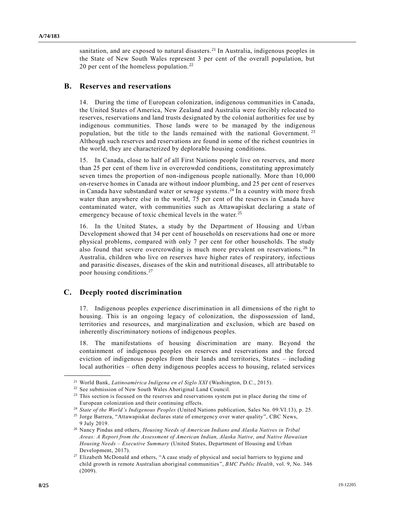sanitation, and are exposed to natural disasters.<sup>21</sup> In Australia, indigenous peoples in the State of New South Wales represent 3 per cent of the overall population, but 20 per cent of the homeless population.<sup>22</sup>

### **B. Reserves and reservations**

14. During the time of European colonization, indigenous communities in Canada, the United States of America, New Zealand and Australia were forcibly relocated to reserves, reservations and land trusts designated by the colonial authorities for use by indigenous communities. Those lands were to be managed by the indigenous population, but the title to the lands remained with the national Government.<sup>23</sup> Although such reserves and reservations are found in some of the richest countries in the world, they are characterized by deplorable housing conditions.

15. In Canada, close to half of all First Nations people live on reserves, and more than 25 per cent of them live in overcrowded conditions, constituting approximately seven times the proportion of non-indigenous people nationally. More than 10,000 on-reserve homes in Canada are without indoor plumbing, and 25 per cent of reserves in Canada have substandard water or sewage systems. <sup>24</sup> In a country with more fresh water than anywhere else in the world, 75 per cent of the reserves in Canada have contaminated water, with communities such as Attawapiskat declaring a state of emergency because of toxic chemical levels in the water.<sup>25</sup>

16. In the United States, a study by the Department of Housing and Urban Development showed that 34 per cent of households on reservations had one or more physical problems, compared with only 7 per cent for other households. The study also found that severe overcrowding is much more prevalent on reservations.<sup>26</sup> In Australia, children who live on reserves have higher rates of respiratory, infectious and parasitic diseases, diseases of the skin and nutritional diseases, all attributable to poor housing conditions.<sup>27</sup>

## **C. Deeply rooted discrimination**

**\_\_\_\_\_\_\_\_\_\_\_\_\_\_\_\_\_\_**

17. Indigenous peoples experience discrimination in all dimensions of the right to housing. This is an ongoing legacy of colonization, the dispossession of land, territories and resources, and marginalization and exclusion, which are based on inherently discriminatory notions of indigenous peoples.

18. The manifestations of housing discrimination are many. Beyond the containment of indigenous peoples on reserves and reservations and the forced eviction of indigenous peoples from their lands and territories, States – including local authorities – often deny indigenous peoples access to housing, related services

<sup>21</sup> World Bank, *Latinoamérica Indígena en el Siglo XXI* (Washington, D.C., 2015).

<sup>&</sup>lt;sup>22</sup> See submission of New South Wales Aboriginal Land Council.

<sup>&</sup>lt;sup>23</sup> This section is focused on the reserves and reservations system put in place during the time of European colonization and their continuing effects.

<sup>24</sup> *State of the World's Indigenous Peoples* (United Nations publication, Sales No. 09.VI.13), p. 25.

<sup>25</sup> Jorge Barrera, "Attawapiskat declares state of emergency over water quality", CBC News, 9 July 2019.

<sup>26</sup> Nancy Pindus and others, *Housing Needs of American Indians and Alaska Natives in Tribal Areas: A Report from the Assessment of American Indian, Alaska Native, and Native Hawaiian Housing Needs – Executive Summary* (United States, Department of Housing and Urban Development, 2017).

<sup>&</sup>lt;sup>27</sup> Elizabeth McDonald and others, "A case study of physical and social barriers to hygiene and child growth in remote Australian aboriginal communities", *BMC Public Health*, vol. 9, No. 346 (2009).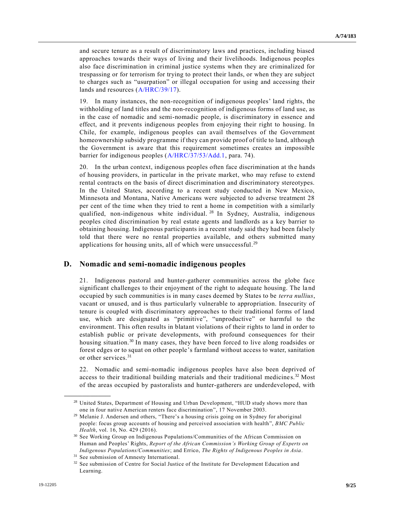and secure tenure as a result of discriminatory laws and practices, including biased approaches towards their ways of living and their livelihoods. Indigenous peoples also face discrimination in criminal justice systems when they are criminalized for trespassing or for terrorism for trying to protect their lands, or when they are subject to charges such as "usurpation" or illegal occupation for using and accessing their lands and resources [\(A/HRC/39/17\)](https://undocs.org/en/A/HRC/39/17).

19. In many instances, the non-recognition of indigenous peoples' land rights, the withholding of land titles and the non-recognition of indigenous forms of land use, as in the case of nomadic and semi-nomadic people, is discriminatory in essence and effect, and it prevents indigenous peoples from enjoying their right to housing. In Chile, for example, indigenous peoples can avail themselves of the Government homeownership subsidy programme if they can provide proof of title to land, although the Government is aware that this requirement sometimes creates an impossible barrier for indigenous peoples [\(A/HRC/37/53/Add.1,](https://undocs.org/en/A/HRC/37/53/Add.1) para. 74).

20. In the urban context, indigenous peoples often face discrimination at the hands of housing providers, in particular in the private market, who may refuse to extend rental contracts on the basis of direct discrimination and discriminatory stereotypes. In the United States, according to a recent study conducted in New Mexico, Minnesota and Montana, Native Americans were subjected to adverse treatment 28 per cent of the time when they tried to rent a home in competition with a similarly qualified, non-indigenous white individual. <sup>28</sup> In Sydney, Australia, indigenous peoples cited discrimination by real estate agents and landlords as a key barrier to obtaining housing. Indigenous participants in a recent study said they had been falsely told that there were no rental properties available, and others submitted many applications for housing units, all of which were unsuccessful.<sup>29</sup>

## **D. Nomadic and semi-nomadic indigenous peoples**

21. Indigenous pastoral and hunter-gatherer communities across the globe face significant challenges to their enjoyment of the right to adequate housing. The la nd occupied by such communities is in many cases deemed by States to be *terra nullius*, vacant or unused, and is thus particularly vulnerable to appropriation. Insecurity of tenure is coupled with discriminatory approaches to their traditional forms of land use, which are designated as "primitive", "unproductive" or harmful to the environment. This often results in blatant violations of their rights to land in order to establish public or private developments, with profound consequences for their housing situation.<sup>30</sup> In many cases, they have been forced to live along roadsides or forest edges or to squat on other people's farmland without access to water, sanitation or other services.<sup>31</sup>

22. Nomadic and semi-nomadic indigenous peoples have also been deprived of access to their traditional building materials and their traditional medicines.<sup>32</sup> Most of the areas occupied by pastoralists and hunter-gatherers are underdeveloped, with

<sup>&</sup>lt;sup>28</sup> United States, Department of Housing and Urban Development, "HUD study shows more than one in four native American renters face discrimination", 17 November 2003.

<sup>29</sup> Melanie J. Andersen and others, "There's a housing crisis going on in Sydney for aboriginal people: focus group accounts of housing and perceived association with health", *BMC Public Health*, vol. 16, No. 429 (2016).

<sup>30</sup> See Working Group on Indigenous Populations/Communities of the African Commission on Human and Peoples' Rights, *Report of the African Commission's Working Group of Experts on Indigenous Populations/Communities*; and Errico, *The Rights of Indigenous Peoples in Asia*.

<sup>&</sup>lt;sup>31</sup> See submission of Amnesty International.

<sup>&</sup>lt;sup>32</sup> See submission of Centre for Social Justice of the Institute for Development Education and Learning.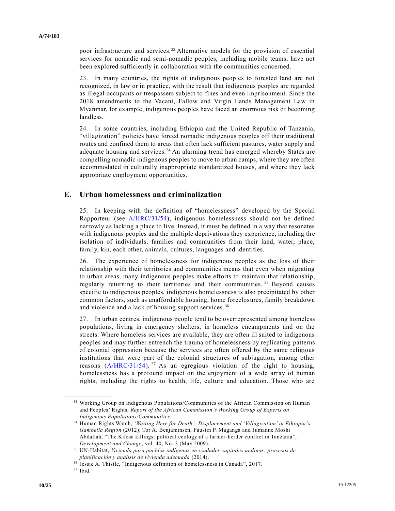poor infrastructure and services.<sup>33</sup> Alternative models for the provision of essential services for nomadic and semi-nomadic peoples, including mobile teams, have not been explored sufficiently in collaboration with the communities concerned.

23. In many countries, the rights of indigenous peoples to forested land are not recognized, in law or in practice, with the result that indigenous peoples are regarded as illegal occupants or trespassers subject to fines and even imprisonment. Since the 2018 amendments to the Vacant, Fallow and Virgin Lands Management Law in Myanmar, for example, indigenous peoples have faced an enormous risk of becoming landless.

24. In some countries, including Ethiopia and the United Republic of Tanzania, "villagization" policies have forced nomadic indigenous peoples off their traditional routes and confined them to areas that often lack sufficient pastures, water supply and adequate housing and services.<sup>34</sup> An alarming trend has emerged whereby States are compelling nomadic indigenous peoples to move to urban camps, where they are often accommodated in culturally inappropriate standardized houses, and where they lack appropriate employment opportunities.

### **E. Urban homelessness and criminalization**

25. In keeping with the definition of "homelessness" developed by the Special Rapporteur (see [A/HRC/31/54\)](https://undocs.org/en/A/HRC/31/54), indigenous homelessness should not be defined narrowly as lacking a place to live. Instead, it must be defined in a way that resonates with indigenous peoples and the multiple deprivations they experience, including the isolation of individuals, families and communities from their land, water, place, family, kin, each other, animals, cultures, languages and identities.

26. The experience of homelessness for indigenous peoples as the loss of their relationship with their territories and communities means that even when migrating to urban areas, many indigenous peoples make efforts to maintain that relationship, regularly returning to their territories and their communities.<sup>35</sup> Beyond causes specific to indigenous peoples, indigenous homelessness is also precipitated by other common factors, such as unaffordable housing, home foreclosures, family breakdown and violence and a lack of housing support services. <sup>36</sup>

27. In urban centres, indigenous people tend to be overrepresented among homeless populations, living in emergency shelters, in homeless encampments and on the streets. Where homeless services are available, they are often ill suited to indigenous peoples and may further entrench the trauma of homelessness by replicating patterns of colonial oppression because the services are often offered by the same religious institutions that were part of the colonial structures of subjugation, among other reasons  $(A/HRC/31/54)$ . <sup>37</sup> As an egregious violation of the right to housing, homelessness has a profound impact on the enjoyment of a wide array of human rights, including the rights to health, life, culture and education. Those who are

<sup>33</sup> Working Group on Indigenous Populations/Communities of the African Commission on Human and Peoples' Rights, *Report of the African Commission's Working Group of Experts on Indigenous Populations/Communities*.

<sup>34</sup> Human Rights Watch, *'Waiting Here for Death': Displacement and 'Villagization' in Ethiopia's Gambella Region* (2012); Tor A. Benjaminsen, Faustin P. Maganga and Jumanne Moshi Abdallah, "The Kilosa killings: political ecology of a farmer-herder conflict in Tanzania", *Development and Change*, vol. 40, No. 3 (May 2009).

<sup>35</sup> UN-Habitat, *Vivienda para pueblos indígenas en ciudades capitales andinas: procesos de planificación y análisis de vivienda adecuada* (2014).

<sup>36</sup> Jessie A. Thistle, "Indigenous definition of homelessness in Canada", 2017.

<sup>37</sup> Ibid.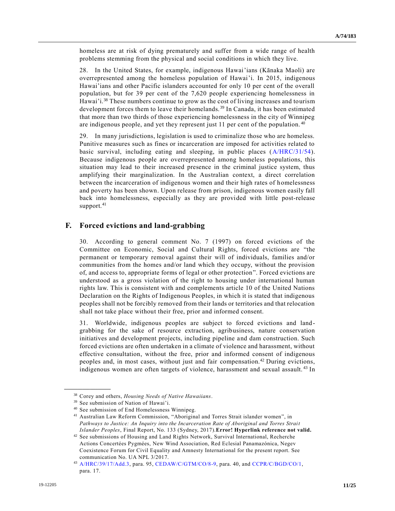homeless are at risk of dying prematurely and suffer from a wide range of health problems stemming from the physical and social conditions in which they live.

28. In the United States, for example, indigenous Hawai'ians (Kānaka Maoli) are overrepresented among the homeless population of Hawai'i. In 2015, indigenous Hawai'ians and other Pacific islanders accounted for only 10 per cent of the overall population, but for 39 per cent of the 7,620 people experiencing homelessness in Hawai'i.<sup>38</sup> These numbers continue to grow as the cost of living increases and tourism development forces them to leave their homelands.<sup>39</sup> In Canada, it has been estimated that more than two thirds of those experiencing homelessness in the city of Winnipeg are indigenous people, and yet they represent just 11 per cent of the population. <sup>40</sup>

29. In many jurisdictions, legislation is used to criminalize those who are homeless. Punitive measures such as fines or incarceration are imposed for activities related to basic survival, including eating and sleeping, in public places [\(A/HRC/31/54\)](https://undocs.org/en/A/HRC/31/54). Because indigenous people are overrepresented among homeless populations, this situation may lead to their increased presence in the criminal justice system, thus amplifying their marginalization. In the Australian context, a direct correlation between the incarceration of indigenous women and their high rates of homelessness and poverty has been shown. Upon release from prison, indigenous women easily fall back into homelessness, especially as they are provided with little post-release support.<sup>41</sup>

### **F. Forced evictions and land-grabbing**

30. According to general comment No. 7 (1997) on forced evictions of the Committee on Economic, Social and Cultural Rights, forced evictions are "the permanent or temporary removal against their will of individuals, families and/or communities from the homes and/or land which they occupy, without the provision of, and access to, appropriate forms of legal or other protection". Forced evictions are understood as a gross violation of the right to housing under international human rights law. This is consistent with and complements article 10 of the United Nations Declaration on the Rights of Indigenous Peoples, in which it is stated that indigenous peoples shall not be forcibly removed from their lands or territories and that relocation shall not take place without their free, prior and informed consent.

31. Worldwide, indigenous peoples are subject to forced evictions and landgrabbing for the sake of resource extraction, agribusiness, nature conservation initiatives and development projects, including pipeline and dam construction. Such forced evictions are often undertaken in a climate of violence and harassment, without effective consultation, without the free, prior and informed consent of indigenous peoples and, in most cases, without just and fair compensation.<sup>42</sup> During evictions, indigenous women are often targets of violence, harassment and sexual assault. <sup>43</sup> In

<sup>38</sup> Corey and others, *Housing Needs of Native Hawaiians*.

<sup>39</sup> See submission of Nation of Hawai'i.

<sup>40</sup> See submission of End Homelessness Winnipeg.

<sup>41</sup> Australian Law Reform Commission, "Aboriginal and Torres Strait islander women", in *Pathways to Justice: An Inquiry into the Incarceration Rate of Aboriginal and Torres Strait Islander Peoples*, Final Report, No. 133 (Sydney, 2017).**Error! Hyperlink reference not valid.**

<sup>42</sup> See submissions of Housing and Land Rights Network, Survival International, Recherche Actions Concertées Pygmées, New Wind Association, Red Eclesial Panamazónica, Negev Coexistence Forum for Civil Equality and Amnesty International for the present report. See communication No. UA NPL 3/2017.

<sup>43</sup> [A/HRC/39/17/Add.3,](https://undocs.org/en/A/HRC/39/17/Add.3) para. 95, [CEDAW/C/GTM/CO/8-9,](https://undocs.org/en/CEDAW/C/GTM/CO/8-9) para. 40, and [CCPR/C/BGD/CO/1,](https://undocs.org/en/CCPR/C/BGD/CO/1) para. 17.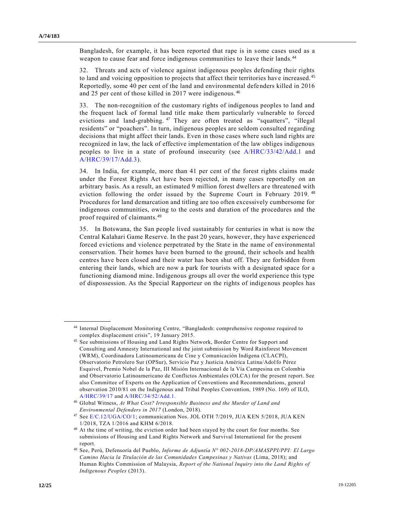Bangladesh, for example, it has been reported that rape is in some cases used as a weapon to cause fear and force indigenous communities to leave their lands.<sup>44</sup>

32. Threats and acts of violence against indigenous peoples defending their rights to land and voicing opposition to projects that affect their territories have increased.<sup>45</sup> Reportedly, some 40 per cent of the land and environmental defenders killed in 2016 and 25 per cent of those killed in 2017 were indigenous. <sup>46</sup>

33. The non-recognition of the customary rights of indigenous peoples to land and the frequent lack of formal land title make them particularly vulnerable to forced evictions and land-grabbing. <sup>47</sup> They are often treated as "squatters", "illegal residents" or "poachers". In turn, indigenous peoples are seldom consulted regarding decisions that might affect their lands. Even in those cases where such land rights are recognized in law, the lack of effective implementation of the law obliges indigenous peoples to live in a state of profound insecurity (see [A/HRC/33/42/Add.1](https://undocs.org/en/A/HRC/33/42/Add.1) and [A/HRC/39/17/Add.3\)](https://undocs.org/en/A/HRC/39/17/Add.3).

34. In India, for example, more than 41 per cent of the forest rights claims made under the Forest Rights Act have been rejected, in many cases reportedly on an arbitrary basis. As a result, an estimated 9 million forest dwellers are threatened with eviction following the order issued by the Supreme Court in February 2019. <sup>48</sup> Procedures for land demarcation and titling are too often excessively cumbersome for indigenous communities, owing to the costs and duration of the procedures and the proof required of claimants.<sup>49</sup>

35. In Botswana, the San people lived sustainably for centuries in what is now the Central Kalahari Game Reserve. In the past 20 years, however, they have experienced forced evictions and violence perpetrated by the State in the name of environmental conservation. Their homes have been burned to the ground, their schools and health centres have been closed and their water has been shut off. They are forbidden from entering their lands, which are now a park for tourists with a designated space for a functioning diamond mine. Indigenous groups all over the world experience this type of dispossession. As the Special Rapporteur on the rights of indigenous peoples has

<sup>44</sup> Internal Displacement Monitoring Centre, "Bangladesh: comprehensive response required to complex displacement crisis", 19 January 2015.

<sup>45</sup> See submissions of Housing and Land Rights Network, Border Centre for Support and Consulting and Amnesty International and the joint submission by Word Rainforest Movement (WRM), Coordinadora Latinoamericana de Cine y Comunicación Indígena (CLACPI), Observatorio Petrolero Sur (OPSur), Servicio Paz y Justicia América Latina/Adolfo Pérez Esquivel, Premio Nobel de la Paz, III Misión Internacional de la Vía Campesina en Colombia and Observatorio Latinoamericano de Conflictos Ambientales (OLCA) for the present report. See also Committee of Experts on the Application of Conventions and Recommendations, general observation 2010/81 on the Indigenous and Tribal Peoples Convention, 1989 (No. 169) of ILO, [A/HRC/39/17](https://undocs.org/en/A/HRC/39/17) and [A/HRC/34/52/Add.1.](https://undocs.org/en/A/HRC/34/52/Add.1) 

<sup>46</sup> Global Witness, *At What Cost? Irresponsible Business and the Murder of Land and Environmental Defenders in 2017* (London, 2018).

<sup>47</sup> See [E/C.12/UGA/CO/1;](https://undocs.org/en/E/C.12/UGA/CO/1) communication Nos. JOL OTH 7/2019, JUA KEN 5/2018, JUA KEN 1/2018, TZA 1/2016 and KHM 6/2018.

<sup>&</sup>lt;sup>48</sup> At the time of writing, the eviction order had been stayed by the court for four months. See submissions of Housing and Land Rights Network and Survival International for the present report.

<sup>49</sup> See, Perú, Defensoría del Pueblo, *Informe de Adjuntía N° 002-2018-DP/AMASPPI/PPI: El Largo Camino Hacia la Titulación de las Comunidades Campesinas y Nativas* (Lima, 2018); and Human Rights Commission of Malaysia, *Report of the National Inquiry into the Land Rights of Indigenous Peoples* (2013).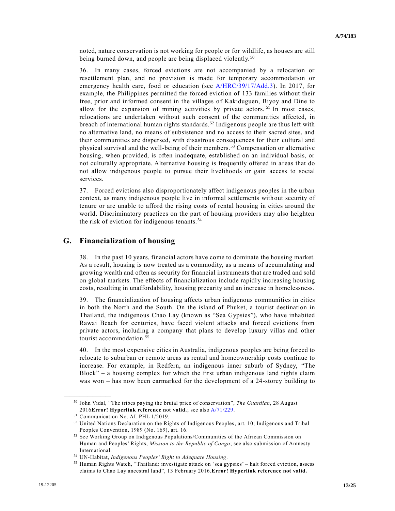noted, nature conservation is not working for people or for wildlife, as houses are still being burned down, and people are being displaced violently.<sup>50</sup>

36. In many cases, forced evictions are not accompanied by a relocation or resettlement plan, and no provision is made for temporary accommodation or emergency health care, food or education (see [A/HRC/39/17/Add.3\)](https://undocs.org/en/A/HRC/39/17/Add.3). In 2017, for example, the Philippines permitted the forced eviction of 133 families without their free, prior and informed consent in the villages of Kakiduguen, Biyoy and Dine to allow for the expansion of mining activities by private actors.<sup>51</sup> In most cases, relocations are undertaken without such consent of the communities affected, in breach of international human rights standards.<sup>52</sup> Indigenous people are thus left with no alternative land, no means of subsistence and no access to their sacred sites, and their communities are dispersed, with disastrous consequences for their cultural and physical survival and the well-being of their members.<sup>53</sup> Compensation or alternative housing, when provided, is often inadequate, established on an individual basis, or not culturally appropriate. Alternative housing is frequently offered in a reas that do not allow indigenous people to pursue their livelihoods or gain access to social services.

37. Forced evictions also disproportionately affect indigenous peoples in the urban context, as many indigenous people live in informal settlements without security of tenure or are unable to afford the rising costs of rental housing in cities around the world. Discriminatory practices on the part of housing providers may also heighten the risk of eviction for indigenous tenants. <sup>54</sup>

### **G. Financialization of housing**

38. In the past 10 years, financial actors have come to dominate the housing market. As a result, housing is now treated as a commodity, as a means of accumulating and growing wealth and often as security for financial instruments that are traded and sold on global markets. The effects of financialization include rapidly increasing housing costs, resulting in unaffordability, housing precarity and an increase in homelessness.

39. The financialization of housing affects urban indigenous communities in cities in both the North and the South. On the island of Phuket, a tourist destination in Thailand, the indigenous Chao Lay (known as "Sea Gypsies"), who have inhabited Rawai Beach for centuries, have faced violent attacks and forced evictions from private actors, including a company that plans to develop luxury villas and other tourist accommodation.<sup>55</sup>

40. In the most expensive cities in Australia, indigenous peoples are being forced to relocate to suburban or remote areas as rental and homeownership costs continue to increase. For example, in Redfern, an indigenous inner suburb of Sydney, "The Block" – a housing complex for which the first urban indigenous land rights claim was won – has now been earmarked for the development of a 24-storey building to

<sup>50</sup> John Vidal, "The tribes paying the brutal price of conservation", *The Guardian*, 28 August 2016**Error! Hyperlink reference not valid.**; see also [A/71/229.](https://undocs.org/en/A/71/229)

<sup>51</sup> Communication No. AL PHL 1/2019.

<sup>52</sup> United Nations Declaration on the Rights of Indigenous Peoples, art. 10; Indigenous and Tribal Peoples Convention, 1989 (No. 169), art. 16.

<sup>53</sup> See Working Group on Indigenous Populations/Communities of the African Commission on Human and Peoples' Rights, *Mission to the Republic of Congo*; see also submission of Amnesty International.

<sup>54</sup> UN-Habitat, *Indigenous Peoples' Right to Adequate Housing*.

<sup>55</sup> Human Rights Watch, "Thailand: investigate attack on 'sea gypsies' – halt forced eviction, assess claims to Chao Lay ancestral land", 13 February 2016.**Error! Hyperlink reference not valid.**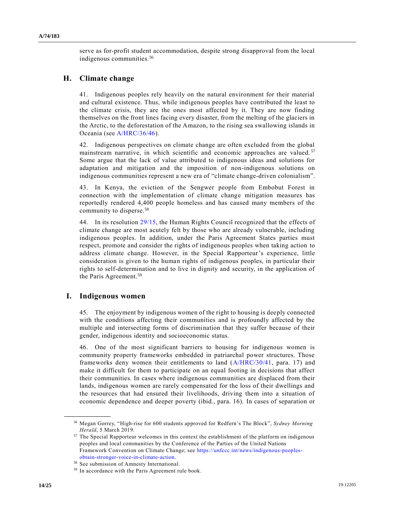serve as for-profit student accommodation, despite strong disapproval from the local indigenous communities.<sup>56</sup>

## **H. Climate change**

41. Indigenous peoples rely heavily on the natural environment for their material and cultural existence. Thus, while indigenous peoples have contributed the least to the climate crisis, they are the ones most affected by it. They are now finding themselves on the front lines facing every disaster, from the melting of the glaciers in the Arctic, to the deforestation of the Amazon, to the rising sea swallowing islands in Oceania (see [A/HRC/36/46\)](https://undocs.org/en/A/HRC/36/46).

42. Indigenous perspectives on climate change are often excluded from the global mainstream narrative, in which scientific and economic approaches are valued.<sup>57</sup> Some argue that the lack of value attributed to indigenous ideas and solutions for adaptation and mitigation and the imposition of non-indigenous solutions on indigenous communities represent a new era of "climate change-driven colonialism".

43. In Kenya, the eviction of the Sengwer people from Embobut Forest in connection with the implementation of climate change mitigation measures has reportedly rendered 4,400 people homeless and has caused many members of the community to disperse.<sup>58</sup>

44. In its resolution [29/15,](https://undocs.org/en/A/HRC/RES/29/15) the Human Rights Council recognized that the effects of climate change are most acutely felt by those who are already vulnerable, including indigenous peoples. In addition, under the Paris Agreement States parties must respect, promote and consider the rights of indigenous peoples when taking action to address climate change. However, in the Special Rapporteur's experience, little consideration is given to the human rights of indigenous peoples, in particular their rights to self-determination and to live in dignity and security, in the application of the Paris Agreement.<sup>59</sup>

## **I. Indigenous women**

**\_\_\_\_\_\_\_\_\_\_\_\_\_\_\_\_\_\_**

45. The enjoyment by indigenous women of the right to housing is deeply connected with the conditions affecting their communities and is profoundly affected by the multiple and intersecting forms of discrimination that they suffer because of their gender, indigenous identity and socioeconomic status.

46. One of the most significant barriers to housing for indigenous women is community property frameworks embedded in patriarchal power structures. Those frameworks deny women their entitlements to land [\(A/HRC/30/41,](https://undocs.org/en/A/HRC/30/41) para. 17) and make it difficult for them to participate on an equal footing in decisions that affect their communities. In cases where indigenous communities are displaced from their lands, indigenous women are rarely compensated for the loss of their dwellings and the resources that had ensured their livelihoods, driving them into a situation of economic dependence and deeper poverty (ibid., para. 16). In cases of separation or

<sup>56</sup> Megan Gorrey, "High-rise for 600 students approved for Redfern's The Block", *Sydney Morning Herald*, 5 March 2019.

<sup>&</sup>lt;sup>57</sup> The Special Rapporteur welcomes in this context the establishment of the platform on indigenous peoples and local communities by the Conference of the Parties of the United Nations Framework Convention on Climate Change; see [https://unfccc.int/news/indigenous-peoples](https://unfccc.int/news/indigenous-peoples-obtain-stronger-voice-in-climate-action)[obtain-stronger-voice-in-climate-action.](https://unfccc.int/news/indigenous-peoples-obtain-stronger-voice-in-climate-action)

<sup>58</sup> See submission of Amnesty International.

<sup>59</sup> In accordance with the Paris Agreement rule book.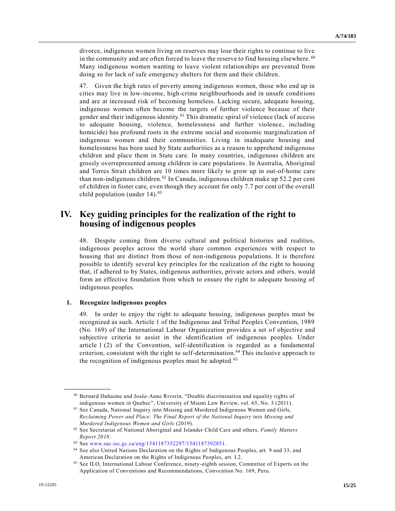divorce, indigenous women living on reserves may lose their rights to continue to live in the community and are often forced to leave the reserve to find housing elsewhere.  $60$ Many indigenous women wanting to leave violent relationships are prevented from doing so for lack of safe emergency shelters for them and their children.

47. Given the high rates of poverty among indigenous women, those who end up in cities may live in low-income, high-crime neighbourhoods and in unsafe conditions and are at increased risk of becoming homeless. Lacking secure, adequate housing, indigenous women often become the targets of further violence because of their gender and their indigenous identity.<sup>61</sup> This dramatic spiral of violence (lack of access to adequate housing, violence, homelessness and further violence, including homicide) has profound roots in the extreme social and economic marginalization of indigenous women and their communities. Living in inadequate housing and homelessness has been used by State authorities as a reason to apprehend indigenous children and place them in State care. In many countries, indigenous children are grossly overrepresented among children in care populations. In Australia, Aboriginal and Torres Strait children are 10 times more likely to grow up in out-of-home care than non-indigenous children.<sup>62</sup> In Canada, indigenous children make up 52.2 per cent of children in foster care, even though they account for only 7.7 per cent of the overall child population (under  $14$ ).<sup>63</sup>

## **IV. Key guiding principles for the realization of the right to housing of indigenous peoples**

48. Despite coming from diverse cultural and political histories and realities, indigenous peoples across the world share common experiences with respect to housing that are distinct from those of non-indigenous populations. It is therefore possible to identify several key principles for the realization of the right to housing that, if adhered to by States, indigenous authorities, private actors and others, would form an effective foundation from which to ensure the right to adequate housing of indigenous peoples.

#### **1. Recognize indigenous peoples**

**\_\_\_\_\_\_\_\_\_\_\_\_\_\_\_\_\_\_**

49. In order to enjoy the right to adequate housing, indigenous peoples must be recognized as such. Article 1 of the Indigenous and Tribal Peoples Convention, 1989 (No. 169) of the International Labour Organization provides a set of objective and subjective criteria to assist in the identification of indigenous peoples. Under article 1 (2) of the Convention, self-identification is regarded as a fundamental criterion, consistent with the right to self-determination.<sup>64</sup> This inclusive approach to the recognition of indigenous peoples must be adopted.<sup>65</sup>

<sup>60</sup> Bernard Duhaime and Josée-Anne Riverin, "Double discrimination and equality rights of indigenous women in Quebec", University of Miami Law Review, vol. 65, No. 3 (2011).

 $^{61}$  See Canada, National Inquiry into Missing and Murdered Indigenous Women and Girls, *Reclaiming Power and Place: The Final Report of the National Inquiry into Missing and Murdered Indigenous Women and Girls* (2019).

<sup>62</sup> See Secretariat of National Aboriginal and Islander Child Care and others, *Family Matters Report 2018*.

<sup>63</sup> See [www.sac-isc.gc.ca/eng/1541187352297/1541187392851.](http://www.sac-isc.gc.ca/eng/1541187352297/1541187392851)

<sup>64</sup> See also United Nations Declaration on the Rights of Indigenous Peoples, art. 9 and 33, and American Declaration on the Rights of Indigenous Peoples, art. I.2.

<sup>65</sup> See ILO, International Labour Conference, ninety-eighth session, Committee of Experts on the Application of Conventions and Recommendations, Convention No. 169, Peru.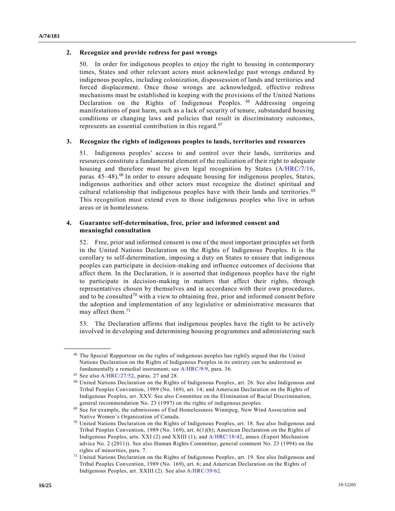#### **2. Recognize and provide redress for past wrongs**

50. In order for indigenous peoples to enjoy the right to housing in contemporary times, States and other relevant actors must acknowledge past wrongs endured by indigenous peoples, including colonization, dispossession of lands and territories and forced displacement. Once those wrongs are acknowledged, effective redress mechanisms must be established in keeping with the provisions of the United Nations Declaration on the Rights of Indigenous Peoples. <sup>66</sup> Addressing ongoing manifestations of past harm, such as a lack of security of tenure, substandard housing conditions or changing laws and policies that result in discriminatory outcomes, represents an essential contribution in this regard.<sup>67</sup>

#### **3. Recognize the rights of indigenous peoples to lands, territories and resources**

51. Indigenous peoples' access to and control over their lands, territories and resources constitute a fundamental element of the realization of their right to adequate housing and therefore must be given legal recognition by States [\(A/HRC/7/16,](https://undocs.org/en/A/HRC/7/16) paras. 45–48).<sup>68</sup> In order to ensure adequate housing for indigenous peoples, States, indigenous authorities and other actors must recognize the distinct spiritual and cultural relationship that indigenous peoples have with their lands and territories.<sup>69</sup> This recognition must extend even to those indigenous peoples who live in urban areas or in homelessness.

#### **4. Guarantee self-determination, free, prior and informed consent and meaningful consultation**

52. Free, prior and informed consent is one of the most important principles set forth in the United Nations Declaration on the Rights of Indigenous Peoples. It is the corollary to self-determination, imposing a duty on States to ensure that indigenous peoples can participate in decision-making and influence outcomes of decisions that affect them. In the Declaration, it is asserted that indigenous peoples have the right to participate in decision-making in matters that affect their rights, through representatives chosen by themselves and in accordance with their own procedures, and to be consulted<sup>70</sup> with a view to obtaining free, prior and informed consent before the adoption and implementation of any legislative or administrative measures that may affect them.<sup>71</sup>

53. The Declaration affirms that indigenous peoples have the right to be actively involved in developing and determining housing programmes and administering such

<sup>66</sup> The Special Rapporteur on the rights of indigenous peoples has rightly argued that the United Nations Declaration on the Rights of Indigenous Peoples in its entirety can be understood as fundamentally a remedial instrument; see [A/HRC/9/9,](https://undocs.org/en/A/HRC/9/9) para. 36.

<sup>67</sup> See also [A/HRC/27/52,](https://undocs.org/en/A/HRC/27/52) paras. 27 and 28.

<sup>68</sup> United Nations Declaration on the Rights of Indigenous Peoples, art. 26. See also Indigenous and Tribal Peoples Convention, 1989 (No. 169), art. 14; and American Declaration on the Rights of Indigenous Peoples, art. XXV. See also Committee on the Elimination of Racial Discrimination, general recommendation No. 23 (1997) on the rights of indigenous peoples.

<sup>69</sup> See for example, the submissions of End Homelessness Winnipeg, New Wind Association and Native Women's Organization of Canada.

 $70$  United Nations Declaration on the Rights of Indigenous Peoples, art. 18. See also Indigenous and Tribal Peoples Convention, 1989 (No. 169), art. 6(1)(b); American Declaration on the Rights of Indigenous Peoples, arts. XXI (2) and XXIII (1); and [A/HRC/18/42,](https://undocs.org/en/A/HRC/18/42) annex (Expert Mechanism advice No. 2 (2011)). See also Human Rights Committee, general comment No. 23 (1994) on the rights of minorities, para. 7.

<sup>71</sup> United Nations Declaration on the Rights of Indigenous Peoples, art. 19. See also Indigenous and Tribal Peoples Convention, 1989 (No. 169), art. 6; and American Declaration on the Rights of Indigenous Peoples, art. XXIII (2). See als[o A/HRC/39/62.](https://undocs.org/en/A/HRC/39/62)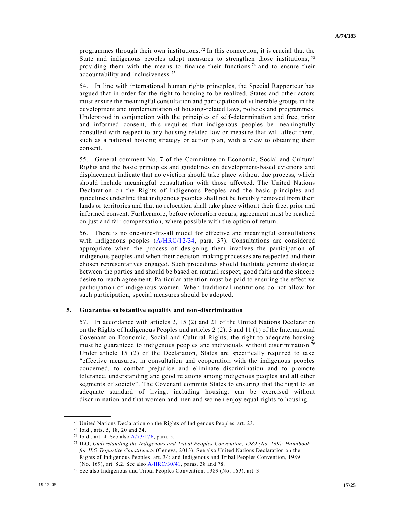programmes through their own institutions.<sup>72</sup> In this connection, it is crucial that the State and indigenous peoples adopt measures to strengthen those institutions,  $^{73}$ providing them with the means to finance their functions<sup> $74$ </sup> and to ensure their accountability and inclusiveness.<sup>75</sup>

54. In line with international human rights principles, the Special Rapporteur has argued that in order for the right to housing to be realized, States and other actors must ensure the meaningful consultation and participation of vulnerable groups in the development and implementation of housing-related laws, policies and programmes. Understood in conjunction with the principles of self-determination and free, prior and informed consent, this requires that indigenous peoples be meaningfully consulted with respect to any housing-related law or measure that will affect them, such as a national housing strategy or action plan, with a view to obtaining their consent.

55. General comment No. 7 of the Committee on Economic, Social and Cultural Rights and the basic principles and guidelines on development-based evictions and displacement indicate that no eviction should take place without due process, which should include meaningful consultation with those affected. The United Nations Declaration on the Rights of Indigenous Peoples and the basic principles and guidelines underline that indigenous peoples shall not be forcibly removed from their lands or territories and that no relocation shall take place without their free, prior and informed consent. Furthermore, before relocation occurs, agreement must be reached on just and fair compensation, where possible with the option of return.

56. There is no one-size-fits-all model for effective and meaningful consultations with indigenous peoples [\(A/HRC/12/34,](https://undocs.org/en/A/HRC/12/34) para. 37). Consultations are considered appropriate when the process of designing them involves the participation of indigenous peoples and when their decision-making processes are respected and their chosen representatives engaged. Such procedures should facilitate genuine dialogue between the parties and should be based on mutual respect, good faith and the sincere desire to reach agreement. Particular attention must be paid to ensuring the effective participation of indigenous women. When traditional institutions do not allow for such participation, special measures should be adopted.

#### **5. Guarantee substantive equality and non-discrimination**

57. In accordance with articles 2, 15 (2) and 21 of the United Nations Declaration on the Rights of Indigenous Peoples and articles 2 (2), 3 and 11 (1) of the International Covenant on Economic, Social and Cultural Rights, the right to adequate housing must be guaranteed to indigenous peoples and individuals without discrimination.<sup>76</sup> Under article 15 (2) of the Declaration, States are specifically required to take "effective measures, in consultation and cooperation with the indigenous peoples concerned, to combat prejudice and eliminate discrimination and to promote tolerance, understanding and good relations among indigenous peoples and all other segments of society". The Covenant commits States to ensuring that the right to an adequate standard of living, including housing, can be exercised without discrimination and that women and men and women enjoy equal rights to housing.

<sup>72</sup> United Nations Declaration on the Rights of Indigenous Peoples, art. 23.

<sup>73</sup> Ibid., arts. 5, 18, 20 and 34.

<sup>74</sup> Ibid., art. 4. See also [A/73/176,](https://undocs.org/en/A/73/176) para. 5.

<sup>75</sup> ILO, *Understanding the Indigenous and Tribal Peoples Convention, 1989 (No. 169): Handbook for ILO Tripartite Constituents* (Geneva, 2013). See also United Nations Declaration on the Rights of Indigenous Peoples, art. 34; and Indigenous and Tribal Peoples Convention, 1989 (No. 169), art. 8.2. See also [A/HRC/30/41,](https://undocs.org/en/A/HRC/30/41) paras. 38 and 78.

<sup>76</sup> See also Indigenous and Tribal Peoples Convention, 1989 (No. 169), art. 3.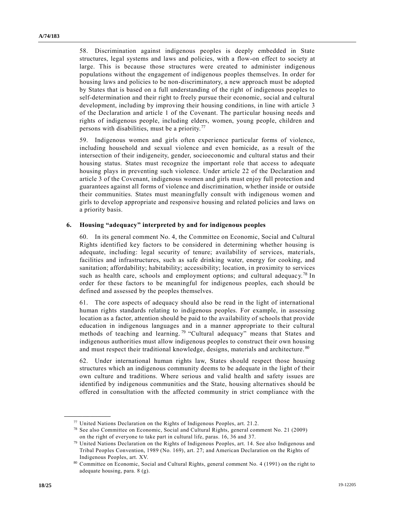58. Discrimination against indigenous peoples is deeply embedded in State structures, legal systems and laws and policies, with a flow-on effect to society at large. This is because those structures were created to administer indigenous populations without the engagement of indigenous peoples themselves. In order for housing laws and policies to be non-discriminatory, a new approach must be adopted by States that is based on a full understanding of the right of indigenous peoples to self-determination and their right to freely pursue their economic, social and cultural development, including by improving their housing conditions, in line with article 3 of the Declaration and article 1 of the Covenant. The particular housing needs and rights of indigenous people, including elders, women, young people, children and persons with disabilities, must be a priority. <sup>77</sup>

59. Indigenous women and girls often experience particular forms of violence, including household and sexual violence and even homicide, as a result of the intersection of their indigeneity, gender, socioeconomic and cultural status and their housing status. States must recognize the important role that access to adequate housing plays in preventing such violence. Under article 22 of the Declaration and article 3 of the Covenant, indigenous women and girls must enjoy full protection and guarantees against all forms of violence and discrimination, whether inside or outside their communities. States must meaningfully consult with indigenous women and girls to develop appropriate and responsive housing and related policies and laws on a priority basis.

#### **6. Housing "adequacy" interpreted by and for indigenous peoples**

60. In its general comment No. 4, the Committee on Economic, Social and Cultural Rights identified key factors to be considered in determining whether housing is adequate, including: legal security of tenure; availability of services, materials, facilities and infrastructures, such as safe drinking water, energy for cooking, and sanitation; affordability; habitability; accessibility; location, in proximity to services such as health care, schools and employment options; and cultural adequacy.<sup>78</sup> In order for these factors to be meaningful for indigenous peoples, each should be defined and assessed by the peoples themselves.

61. The core aspects of adequacy should also be read in the light of international human rights standards relating to indigenous peoples. For example, in assessing location as a factor, attention should be paid to the availability of schools that provide education in indigenous languages and in a manner appropriate to their cultural methods of teaching and learning.<sup>79</sup> "Cultural adequacy" means that States and indigenous authorities must allow indigenous peoples to construct their own housing and must respect their traditional knowledge, designs, materials and architecture. <sup>80</sup>

62. Under international human rights law, States should respect those housing structures which an indigenous community deems to be adequate in the light of their own culture and traditions. Where serious and valid health and safety issues are identified by indigenous communities and the State, housing alternatives should be offered in consultation with the affected community in strict compliance with the

<sup>77</sup> United Nations Declaration on the Rights of Indigenous Peoples, art. 21.2.

<sup>78</sup> See also Committee on Economic, Social and Cultural Rights, general comment No. 21 (2009) on the right of everyone to take part in cultural life, paras. 16, 36 and 37.

<sup>79</sup> United Nations Declaration on the Rights of Indigenous Peoples, art. 14. See also Indigenous and Tribal Peoples Convention, 1989 (No. 169), art. 27; and American Declaration on the Rights of Indigenous Peoples, art. XV.

<sup>80</sup> Committee on Economic, Social and Cultural Rights, general comment No. 4 (1991) on the right to adequate housing, para. 8 (g).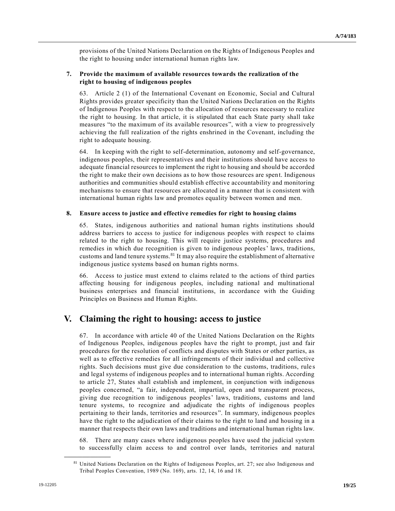provisions of the United Nations Declaration on the Rights of Indigenous Peoples and the right to housing under international human rights law.

### **7. Provide the maximum of available resources towards the realization of the right to housing of indigenous peoples**

63. Article 2 (1) of the International Covenant on Economic, Social and Cultural Rights provides greater specificity than the United Nations Declaration on the Rights of Indigenous Peoples with respect to the allocation of resources necessary to realize the right to housing. In that article, it is stipulated that each State party shall take measures "to the maximum of its available resources", with a view to progressively achieving the full realization of the rights enshrined in the Covenant, including the right to adequate housing.

64. In keeping with the right to self-determination, autonomy and self-governance, indigenous peoples, their representatives and their institutions should have access to adequate financial resources to implement the right to housing and should be accorded the right to make their own decisions as to how those resources are spent. Indigenous authorities and communities should establish effective accountability and monitoring mechanisms to ensure that resources are allocated in a manner that is consistent with international human rights law and promotes equality between women and men.

### **8. Ensure access to justice and effective remedies for right to housing claims**

65. States, indigenous authorities and national human rights institutions should address barriers to access to justice for indigenous peoples with respect to claims related to the right to housing. This will require justice systems, procedures and remedies in which due recognition is given to indigenous peoples' laws, traditions, customs and land tenure systems. $81$  It may also require the establishment of alternative indigenous justice systems based on human rights norms.

66. Access to justice must extend to claims related to the actions of third parties affecting housing for indigenous peoples, including national and multinational business enterprises and financial institutions, in accordance with the Guiding Principles on Business and Human Rights.

## **V. Claiming the right to housing: access to justice**

67. In accordance with article 40 of the United Nations Declaration on the Rights of Indigenous Peoples, indigenous peoples have the right to prompt, just and fair procedures for the resolution of conflicts and disputes with States or other parties, as well as to effective remedies for all infringements of their individual and collective rights. Such decisions must give due consideration to the customs, traditions, rule s and legal systems of indigenous peoples and to international human rights. According to article 27, States shall establish and implement, in conjunction with indigenous peoples concerned, "a fair, independent, impartial, open and transparent process, giving due recognition to indigenous peoples' laws, traditions, customs and land tenure systems, to recognize and adjudicate the rights of indigenous peoples pertaining to their lands, territories and resources". In summary, indigenous peoples have the right to the adjudication of their claims to the right to land and housing in a manner that respects their own laws and traditions and international human rights law.

68. There are many cases where indigenous peoples have used the judicial system to successfully claim access to and control over lands, territories and natural

<sup>&</sup>lt;sup>81</sup> United Nations Declaration on the Rights of Indigenous Peoples, art. 27; see also Indigenous and Tribal Peoples Convention, 1989 (No. 169), arts. 12, 14, 16 and 18.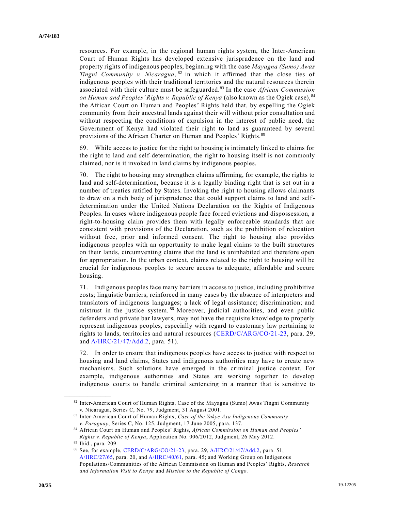resources. For example, in the regional human rights system, the Inter-American Court of Human Rights has developed extensive jurisprudence on the land and property rights of indigenous peoples, beginning with the case *Mayagna (Sumo) Awas Tingni Community v. Nicaragua*, 82 in which it affirmed that the close ties of indigenous peoples with their traditional territories and the natural resources therein associated with their culture must be safeguarded.<sup>83</sup> In the case *African Commission on Human and Peoples' Rights v. Republic of Kenya* (also known as the Ogiek case), <sup>84</sup> the African Court on Human and Peoples' Rights held that, by expelling the Ogiek community from their ancestral lands against their will without prior consultation and without respecting the conditions of expulsion in the interest of public need, the Government of Kenya had violated their right to land as guaranteed by several provisions of the African Charter on Human and Peoples' Rights.<sup>85</sup>

While access to justice for the right to housing is intimately linked to claims for the right to land and self-determination, the right to housing itself is not commonly claimed, nor is it invoked in land claims by indigenous peoples.

70. The right to housing may strengthen claims affirming, for example, the rights to land and self-determination, because it is a legally binding right that is set out in a number of treaties ratified by States. Invoking the right to housing allows claimants to draw on a rich body of jurisprudence that could support claims to land and selfdetermination under the United Nations Declaration on the Rights of Indigenous Peoples. In cases where indigenous people face forced evictions and dispossession, a right-to-housing claim provides them with legally enforceable standards that are consistent with provisions of the Declaration, such as the prohibition of relocation without free, prior and informed consent. The right to housing also provides indigenous peoples with an opportunity to make legal claims to the built structures on their lands, circumventing claims that the land is uninhabited and therefore open for appropriation. In the urban context, claims related to the right to housing will be crucial for indigenous peoples to secure access to adequate, affordable and secure housing.

71. Indigenous peoples face many barriers in access to justice, including prohibitive costs; linguistic barriers, reinforced in many cases by the absence of interpreters and translators of indigenous languages; a lack of legal assistance; discrimination; and mistrust in the justice system. <sup>86</sup> Moreover, judicial authorities, and even public defenders and private bar lawyers, may not have the requisite knowledge to properly represent indigenous peoples, especially with regard to customary law pertaining to rights to lands, territories and natural resources [\(CERD/C/ARG/CO/21-23,](https://undocs.org/en/CERD/C/ARG/CO/21-23) para. 29, and [A/HRC/21/47/Add.2,](https://undocs.org/en/A/HRC/21/47/Add.2) para. 51).

72. In order to ensure that indigenous peoples have access to justice with respect to housing and land claims, States and indigenous authorities may have to create new mechanisms. Such solutions have emerged in the criminal justice context. For example, indigenous authorities and States are working together to develop indigenous courts to handle criminal sentencing in a manner that is sensitive to

<sup>82</sup> Inter-American Court of Human Rights, Case of the Mayagna (Sumo) Awas Tingni Community v. Nicaragua, Series C, No. 79, Judgment, 31 August 2001.

<sup>83</sup> Inter-American Court of Human Rights, *Case of the Yakye Axa Indigenous Community v. Paraguay*, Series C, No. 125, Judgment, 17 June 2005, para. 137.

<sup>84</sup> African Court on Human and Peoples' Rights, *African Commission on Human and Peoples' Rights v. Republic of Kenya*, Application No. 006/2012, Judgment, 26 May 2012.

<sup>85</sup> Ibid., para. 209.

<sup>86</sup> See, for example, [CERD/C/ARG/CO/21-23,](https://undocs.org/en/CERD/C/ARG/CO/21-23) para. 29[, A/HRC/21/47/Add.2,](https://undocs.org/en/A/HRC/21/47/Add.2) para. 51, [A/HRC/27/65,](https://undocs.org/en/A/HRC/27/65) para. 20, an[d A/HRC/40/61,](https://undocs.org/en/A/HRC/40/61) para. 45; and Working Group on Indigenous Populations/Communities of the African Commission on Human and Peoples' Rights, *Research and Information Visit to Kenya* and *Mission to the Republic of Congo.*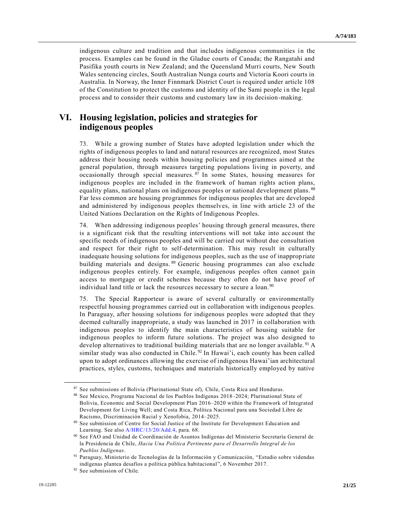indigenous culture and tradition and that includes indigenous communities in the process. Examples can be found in the Gladue courts of Canada; the Rangatahi and Pasifika youth courts in New Zealand; and the Queensland Murri courts, New South Wales sentencing circles, South Australian Nunga courts and Victoria Koori courts in Australia. In Norway, the Inner Finnmark District Court is required under article 108 of the Constitution to protect the customs and identity of the Sami people in the legal process and to consider their customs and customary law in its decision-making.

## **VI. Housing legislation, policies and strategies for indigenous peoples**

73. While a growing number of States have adopted legislation under which the rights of indigenous peoples to land and natural resources are recognized, most States address their housing needs within housing policies and programmes aimed at the general population, through measures targeting populations living in poverty, and occasionally through special measures. <sup>87</sup> In some States, housing measures for indigenous peoples are included in the framework of human rights action plans, equality plans, national plans on indigenous peoples or national development plans. <sup>88</sup> Far less common are housing programmes for indigenous peoples that are developed and administered by indigenous peoples themselves, in line with article 23 of the United Nations Declaration on the Rights of Indigenous Peoples.

74. When addressing indigenous peoples' housing through general measures, there is a significant risk that the resulting interventions will not take into account the specific needs of indigenous peoples and will be carried out without due consultation and respect for their right to self-determination. This may result in culturally inadequate housing solutions for indigenous peoples, such as the use of inapprop riate building materials and designs.<sup>89</sup> Generic housing programmes can also exclude indigenous peoples entirely. For example, indigenous peoples often cannot gain access to mortgage or credit schemes because they often do not have proof of individual land title or lack the resources necessary to secure a loan.<sup>90</sup>

75. The Special Rapporteur is aware of several culturally or environmentally respectful housing programmes carried out in collaboration with indigenous peoples. In Paraguay, after housing solutions for indigenous peoples were adopted that they deemed culturally inappropriate, a study was launched in 2017 in collaboration with indigenous peoples to identify the main characteristics of housing suitable for indigenous peoples to inform future solutions. The project was also designed to develop alternatives to traditional building materials that are no longer available.<sup>91</sup> A similar study was also conducted in Chile.<sup>92</sup> In Hawai'i, each county has been called upon to adopt ordinances allowing the exercise of indigenous Hawai'ian architectural practices, styles, customs, techniques and materials historically employed by native

<sup>87</sup> See submissions of Bolivia (Plurinational State of), Chile, Costa Rica and Honduras.

<sup>88</sup> See Mexico, Programa Nacional de los Pueblos Indígenas 2018–2024; Plurinational State of Bolivia, Economic and Social Development Plan 2016–2020 within the Framework of Integrated Development for Living Well; and Costa Rica, Política Nacional para una Sociedad Libre de Racismo, Discriminación Racial y Xenofobia, 2014–2025.

<sup>89</sup> See submission of Centre for Social Justice of the Institute for Development Education and Learning. See als[o A/HRC/13/20/Add.4,](https://undocs.org/en/A/HRC/13/20/Add.4) para. 68.

<sup>90</sup> See FAO and Unidad de Coordinación de Asuntos Indígenas del Ministerio Secretaría General de la Presidencia de Chile, *Hacia Una Política Pertinente para el Desarrollo Integral de los Pueblos Indígenas*.

<sup>91</sup> Paraguay, Ministerio de Tecnologías de la Información y Comunicación, "Estudio sobre videndas indígenas plantea desafíos a política pública habitacional", 6 November 2017.

<sup>92</sup> See submission of Chile.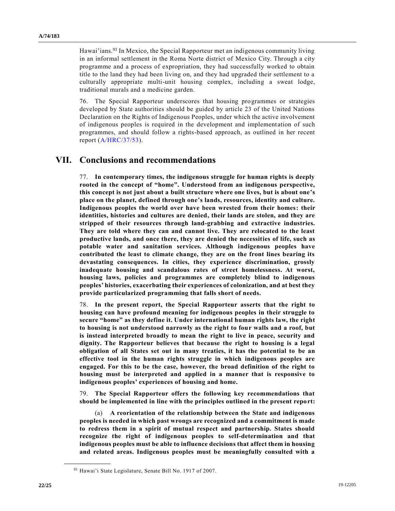Hawai'ians.<sup>93</sup> In Mexico, the Special Rapporteur met an indigenous community living in an informal settlement in the Roma Norte district of Mexico City. Through a city programme and a process of expropriation, they had successfully worked to obtain title to the land they had been living on, and they had upgraded their settlement to a culturally appropriate multi-unit housing complex, including a sweat lodge, traditional murals and a medicine garden.

76. The Special Rapporteur underscores that housing programmes or strategies developed by State authorities should be guided by article 23 of the United Nations Declaration on the Rights of Indigenous Peoples, under which the active involvement of indigenous peoples is required in the development and implementation of such programmes, and should follow a rights-based approach, as outlined in her recent report [\(A/HRC/37/53\)](https://undocs.org/en/A/HRC/37/53).

## **VII. Conclusions and recommendations**

77. **In contemporary times, the indigenous struggle for human rights is deeply rooted in the concept of "home". Understood from an indigenous perspective, this concept is not just about a built structure where one lives, but is about one's place on the planet, defined through one's lands, resources, identity and culture. Indigenous peoples the world over have been wrested from their homes: their identities, histories and cultures are denied, their lands are stolen, and they are stripped of their resources through land-grabbing and extractive industries. They are told where they can and cannot live. They are relocated to the least productive lands, and once there, they are denied the necessities of life, such as potable water and sanitation services. Although indigenous peoples have contributed the least to climate change, they are on the front lines bearing its devastating consequences. In cities, they experience discrimination, grossly inadequate housing and scandalous rates of street homelessness. At worst, housing laws, policies and programmes are completely blind to indigenous peoples' histories, exacerbating their experiences of colonization, and at best they provide particularized programming that falls short of needs.** 

78. **In the present report, the Special Rapporteur asserts that the right to housing can have profound meaning for indigenous peoples in their struggle to secure "home" as they define it. Under international human rights law, the right to housing is not understood narrowly as the right to four walls and a roof, but is instead interpreted broadly to mean the right to live in peace, security and dignity. The Rapporteur believes that because the right to housing is a legal obligation of all States set out in many treaties, it has the potential to be an effective tool in the human rights struggle in which indigenous peoples are engaged. For this to be the case, however, the broad definition of the right to housing must be interpreted and applied in a manner that is responsive to indigenous peoples' experiences of housing and home.** 

79. **The Special Rapporteur offers the following key recommendations that should be implemented in line with the principles outlined in the present report:** 

(a) **A reorientation of the relationship between the State and indigenous peoples is needed in which past wrongs are recognized and a commitment is made to redress them in a spirit of mutual respect and partnership. States should recognize the right of indigenous peoples to self-determination and that indigenous peoples must be able to influence decisions that affect them in housing and related areas. Indigenous peoples must be meaningfully consulted with a** 

<sup>93</sup> Hawai'i State Legislature, Senate Bill No. 1917 of 2007.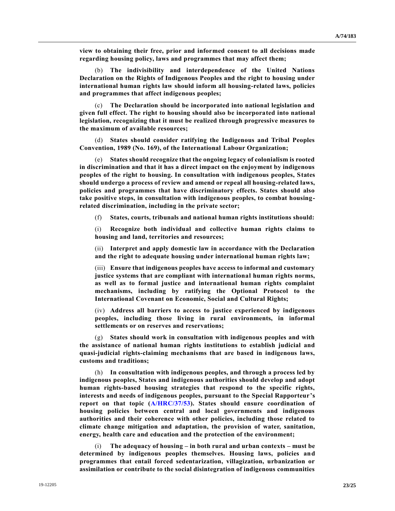**view to obtaining their free, prior and informed consent to all decisions made regarding housing policy, laws and programmes that may affect them;**

(b) **The indivisibility and interdependence of the United Nations Declaration on the Rights of Indigenous Peoples and the right to housing under international human rights law should inform all housing-related laws, policies and programmes that affect indigenous peoples;**

(c) **The Declaration should be incorporated into national legislation and given full effect. The right to housing should also be incorporated into national legislation, recognizing that it must be realized through progressive measures to the maximum of available resources;**

(d) **States should consider ratifying the Indigenous and Tribal Peoples Convention, 1989 (No. 169), of the International Labour Organization;**

(e) **States should recognize that the ongoing legacy of colonialism is rooted in discrimination and that it has a direct impact on the enjoyment by indigenous peoples of the right to housing. In consultation with indigenous peoples, States should undergo a process of review and amend or repeal all housing-related laws, policies and programmes that have discriminatory effects. States should also take positive steps, in consultation with indigenous peoples, to combat housingrelated discrimination, including in the private sector;**

(f) **States, courts, tribunals and national human rights institutions should:** 

(i) **Recognize both individual and collective human rights claims to housing and land, territories and resources;**

(ii) **Interpret and apply domestic law in accordance with the Declaration and the right to adequate housing under international human rights law;**

(iii) **Ensure that indigenous peoples have access to informal and customary justice systems that are compliant with international human rights norms, as well as to formal justice and international human rights complaint mechanisms, including by ratifying the Optional Protocol to the International Covenant on Economic, Social and Cultural Rights;**

(iv) **Address all barriers to access to justice experienced by indigenous peoples, including those living in rural environments, in informal settlements or on reserves and reservations;**

(g) **States should work in consultation with indigenous peoples and with the assistance of national human rights institutions to establish judicial and quasi-judicial rights-claiming mechanisms that are based in indigenous laws, customs and traditions;**

In consultation with indigenous peoples, and through a process led by **indigenous peoples, States and indigenous authorities should develop and adopt human rights-based housing strategies that respond to the specific rights, interests and needs of indigenous peoples, pursuant to the Special Rapporteur's report on that topic [\(A/HRC/37/53\)](https://undocs.org/en/A/HRC/37/53). States should ensure coordination of housing policies between central and local governments and indigenous authorities and their coherence with other policies, including those related to climate change mitigation and adaptation, the provision of water, sanitation, energy, health care and education and the protection of the environment;**

(i) **The adequacy of housing – in both rural and urban contexts – must be determined by indigenous peoples themselves. Housing laws, policies and programmes that entail forced sedentarization, villagization, urbanization or assimilation or contribute to the social disintegration of indigenous communities**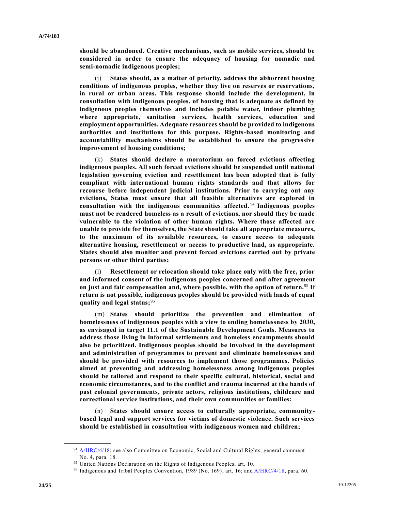**should be abandoned. Creative mechanisms, such as mobile services, should be considered in order to ensure the adequacy of housing for nomadic and semi-nomadic indigenous peoples;**

(j) **States should, as a matter of priority, address the abhorrent housing conditions of indigenous peoples, whether they live on reserves or reservations, in rural or urban areas. This response should include the development, in consultation with indigenous peoples, of housing that is adequate as defined by indigenous peoples themselves and includes potable water, indoor plumbing where appropriate, sanitation services, health services, education and employment opportunities. Adequate resources should be provided to indigenous authorities and institutions for this purpose. Rights-based monitoring and accountability mechanisms should be established to ensure the progressive improvement of housing conditions;**

(k) **States should declare a moratorium on forced evictions affecting indigenous peoples. All such forced evictions should be suspended until national legislation governing eviction and resettlement has been adopted that is fully compliant with international human rights standards and that allows for recourse before independent judicial institutions. Prior to carrying out any evictions, States must ensure that all feasible alternatives are explored in consultation with the indigenous communities affected.** <sup>94</sup>  **Indigenous peoples must not be rendered homeless as a result of evictions, nor should they be made vulnerable to the violation of other human rights. Where those affected are unable to provide for themselves, the State should take all appropriate measures, to the maximum of its available resources, to ensure access to adequate alternative housing, resettlement or access to productive land, as appropriate. States should also monitor and prevent forced evictions carried out by private persons or other third parties;**

(l) **Resettlement or relocation should take place only with the free, prior and informed consent of the indigenous peoples concerned and after agreement on just and fair compensation and, where possible, with the option of return.**<sup>95</sup> **If return is not possible, indigenous peoples should be provided with lands of equal quality and legal status;**<sup>96</sup>

(m) **States should prioritize the prevention and elimination of homelessness of indigenous peoples with a view to ending homelessness by 2030, as envisaged in target 11.1 of the Sustainable Development Goals. Measures to address those living in informal settlements and homeless encampments should also be prioritized. Indigenous peoples should be involved in the development and administration of programmes to prevent and eliminate homelessness and should be provided with resources to implement those programmes. Policies aimed at preventing and addressing homelessness among indigenous peoples should be tailored and respond to their specific cultural, historical, social and economic circumstances, and to the conflict and trauma incurred at the hands of past colonial governments, private actors, religious institutions, childcare and correctional service institutions, and their own communities or families;**

(n) **States should ensure access to culturally appropriate, communitybased legal and support services for victims of domestic violence. Such services should be established in consultation with indigenous women and children;**

<sup>&</sup>lt;sup>94</sup> [A/HRC/4/18;](https://undocs.org/en/A/HRC/4/18) see also Committee on Economic, Social and Cultural Rights, general comment No. 4, para. 18.

<sup>95</sup> United Nations Declaration on the Rights of Indigenous Peoples, art. 10.

<sup>96</sup> Indigenous and Tribal Peoples Convention, 1989 (No. 169), art. 16; and [A/HRC/4/18,](https://undocs.org/en/A/HRC/4/18) para. 60.